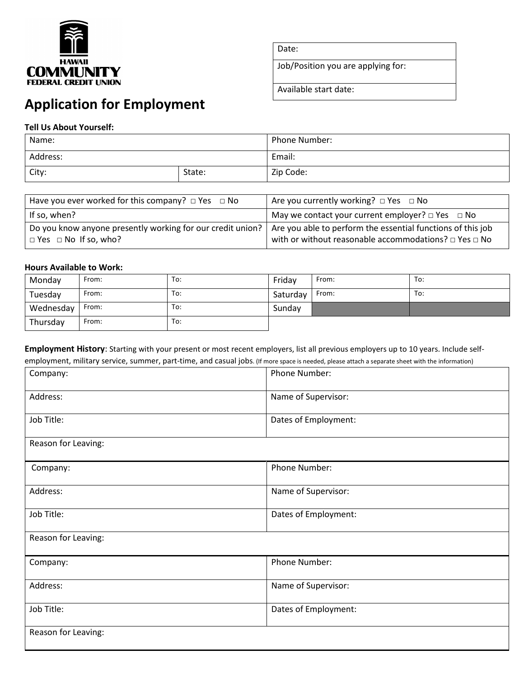

Date:

Job/Position you are applying for:

Available start date:

# **Application for Employment**

## **Tell Us About Yourself:**

| Name:    |        | Phone Number: |  |
|----------|--------|---------------|--|
| Address: |        | Email:        |  |
| City:    | State: | Zip Code:     |  |

| Have you ever worked for this company? $\Box$ Yes $\Box$ No                                    | Are you currently working? $\Box$ Yes $\Box$ No                                                                                      |
|------------------------------------------------------------------------------------------------|--------------------------------------------------------------------------------------------------------------------------------------|
| If so, when?                                                                                   | May we contact your current employer? $\Box$ Yes $\Box$ No                                                                           |
| Do you know anyone presently working for our credit union?<br>$\Box$ Yes $\Box$ No If so, who? | Are you able to perform the essential functions of this job<br>with or without reasonable accommodations? $\square$ Yes $\square$ No |

## **Hours Available to Work:**

| Monday    | From: | To: | Friday   | From: | To: |
|-----------|-------|-----|----------|-------|-----|
| Tuesday   | From: | To: | Saturday | From: | To: |
| Wednesday | From: | To: | Sunday   |       |     |
| Thursday  | From: | To: |          |       |     |

**Employment History**: Starting with your present or most recent employers, list all previous employers up to 10 years. Include self-

| Company:            | Phone Number:        |
|---------------------|----------------------|
| Address:            | Name of Supervisor:  |
| Job Title:          | Dates of Employment: |
| Reason for Leaving: |                      |
| Company:            | Phone Number:        |
| Address:            | Name of Supervisor:  |
| Job Title:          | Dates of Employment: |
| Reason for Leaving: |                      |
| Company:            | Phone Number:        |
| Address:            | Name of Supervisor:  |
| Job Title:          | Dates of Employment: |
| Reason for Leaving: |                      |

employment, military service, summer, part-time, and casual jobs. (If more space is needed, please attach a separate sheet with the information)